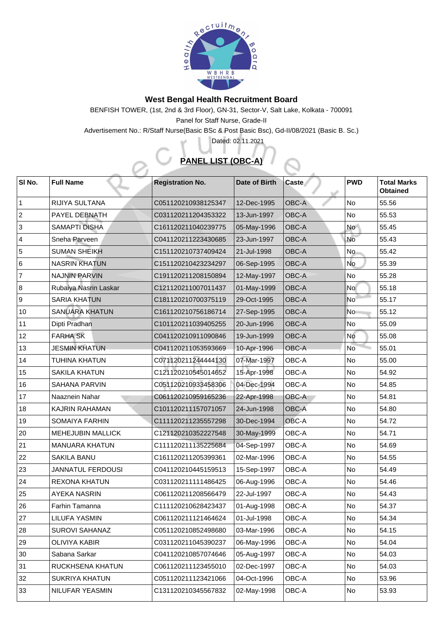

## **West Bengal Health Recruitment Board**

BENFISH TOWER, (1st, 2nd & 3rd Floor), GN-31, Sector-V, Salt Lake, Kolkata - 700091 Panel for Staff Nurse, Grade-II

Advertisement No.: R/Staff Nurse(Basic BSc & Post Basic Bsc), Gd-II/08/2021 (Basic B. Sc.)

## **PANEL LIST (OBC-A)**

Dated: 02.11.2021

| <b>SI No.</b>  | <b>Full Name</b>         | <b>Registration No.</b> | Date of Birth | <b>Caste</b> | <b>PWD</b> | <b>Total Marks</b><br><b>Obtained</b> |
|----------------|--------------------------|-------------------------|---------------|--------------|------------|---------------------------------------|
|                | <b>RIJIYA SULTANA</b>    | C051120210938125347     | 12-Dec-1995   | <b>OBC-A</b> | <b>No</b>  | 55.56                                 |
| $\overline{2}$ | <b>PAYEL DEBNATH</b>     | C031120211204353322     | 13-Jun-1997   | <b>OBC-A</b> | <b>No</b>  | 55.53                                 |
| 3              | <b>SAMAPTI DISHA</b>     | C161120211040239775     | 05-May-1996   | <b>OBC-A</b> | <b>No</b>  | 55.45                                 |
| $\overline{4}$ | <b>Sneha Parveen</b>     | C041120211223430685     | 23-Jun-1997   | <b>OBC-A</b> | <b>No</b>  | 55.43                                 |
| 5              | <b>SUMAN SHEIKH</b>      | C151120210737409424     | 21-Jul-1998   | <b>OBC-A</b> | No-        | 55.42                                 |
| 6              | <b>NASRIN KHATUN</b>     | C151120210423234297     | 06-Sep-1995   | <b>OBC-A</b> | No         | 55.39                                 |
| $\overline{7}$ | <b>NAJNIN PARVIN</b>     | C191120211208150894     | 12-May-1997   | <b>OBC-A</b> | <b>No</b>  | 55.28                                 |
| 8              | Rubaiya Nasrin Laskar    | C121120211007011437     | 01-May-1999   | <b>OBC-A</b> | No         | 55.18                                 |
| 9              | <b>SARIA KHATUN</b>      | C181120210700375119     | 29-Oct-1995   | <b>OBC-A</b> | No         | 55.17                                 |
| 10             | <b>SANUARA KHATUN</b>    | C161120210756186714     | 27-Sep-1995   | <b>OBC-A</b> | No         | 55.12                                 |
| 11             | Dipti Pradhan            | C101120211039405255     | 20-Jun-1996   | <b>OBC-A</b> | No         | 55.09                                 |
| 12             | <b>FARHA SK</b>          | C041120210911090846     | 19-Jun-1999   | <b>OBC-A</b> | No         | 55.08                                 |
| 13             | <b>JESMIN KHATUN</b>     | C041120211053593669     | 10-Apr-1996   | <b>OBC-A</b> | <b>No</b>  | 55.01                                 |
| 14             | <b>TUHINA KHATUN</b>     | C071120211244444130     | 07-Mar-1997   | <b>OBC-A</b> | <b>No</b>  | 55.00                                 |
| 15             | <b>SAKILA KHATUN</b>     | C121120210545014652     | 15-Apr-1998   | <b>OBC-A</b> | <b>No</b>  | 54.92                                 |
| 16             | <b>SAHANA PARVIN</b>     | C051120210933458306     | 04-Dec-1994   | OBC-A        | <b>No</b>  | 54.85                                 |
| 17             | Naaznein Nahar           | C061120210959165236     | 22-Apr-1998   | <b>OBC-A</b> | <b>No</b>  | 54.81                                 |
| 18             | <b>KAJRIN RAHAMAN</b>    | C101120211157071057     | 24-Jun-1998   | <b>OBC-A</b> | <b>No</b>  | 54.80                                 |
| 19             | <b>SOMAIYA FARHIN</b>    | C111120211235557298     | 30-Dec-1994   | OBC-A        | <b>No</b>  | 54.72                                 |
| 20             | <b>MEHEJUBIN MALLICK</b> | C121120210352227548     | 30-May-1999   | <b>OBC-A</b> | <b>No</b>  | 54.71                                 |
| 21             | <b>MANUARA KHATUN</b>    | C111120211135225684     | 04-Sep-1997   | <b>OBC-A</b> | <b>No</b>  | 54.69                                 |
| 22             | <b>SAKILA BANU</b>       | C161120211205399361     | 02-Mar-1996   | <b>OBC-A</b> | <b>No</b>  | 54.55                                 |
| 23             | <b>JANNATUL FERDOUSI</b> | C041120210445159513     | 15-Sep-1997   | OBC-A        | <b>No</b>  | 54.49                                 |
| 24             | <b>REXONA KHATUN</b>     | C031120211111486425     | 06-Aug-1996   | <b>OBC-A</b> | <b>No</b>  | 54.46                                 |
| 25             | <b>AYEKA NASRIN</b>      | C061120211208566479     | 22-Jul-1997   | <b>OBC-A</b> | <b>No</b>  | 54.43                                 |
| 26             | <b>Farhin Tamanna</b>    | C111120210628423437     | 01-Aug-1998   | <b>OBC-A</b> | <b>No</b>  | 54.37                                 |
| 27             | <b>LILUFA YASMIN</b>     | C061120211121464624     | 01-Jul-1998   | <b>OBC-A</b> | <b>No</b>  | 54.34                                 |
| 28             | <b>SUROVI SAHANAZ</b>    | C051120210852498680     | 03-Mar-1996   | <b>OBC-A</b> | No         | 54.15                                 |
| 29             | <b>OLIVIYA KABIR</b>     | C031120211045390237     | 06-May-1996   | <b>OBC-A</b> | <b>No</b>  | 54.04                                 |
| 30             | Sabana Sarkar            | C041120210857074646     | 05-Aug-1997   | <b>OBC-A</b> | No         | 54.03                                 |
| 31             | RUCKHSENA KHATUN         | C061120211123455010     | 02-Dec-1997   | <b>OBC-A</b> | No         | 54.03                                 |
| 32             | <b>SUKRIYA KHATUN</b>    | C051120211123421066     | 04-Oct-1996   | <b>OBC-A</b> | No         | 53.96                                 |
| 33             | <b>NILUFAR YEASMIN</b>   | C131120210345567832     | 02-May-1998   | <b>OBC-A</b> | <b>No</b>  | 53.93                                 |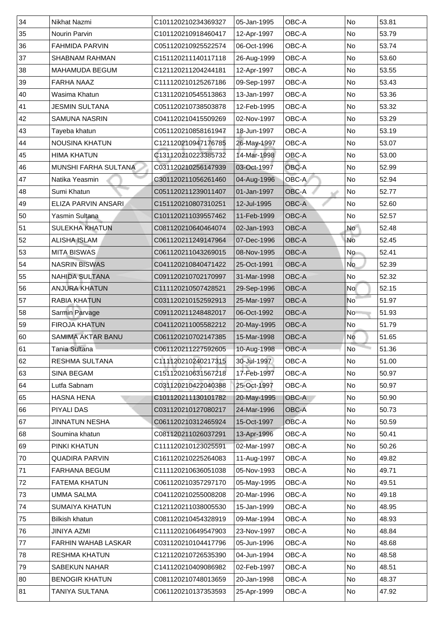| 34 | Nikhat Nazmi               | C101120210234369327 | 05-Jan-1995       | <b>OBC-A</b> | <b>No</b>                | 53.81 |
|----|----------------------------|---------------------|-------------------|--------------|--------------------------|-------|
| 35 | <b>Nourin Parvin</b>       | C101120210918460417 | 12-Apr-1997       | <b>OBC-A</b> | No                       | 53.79 |
| 36 | <b>FAHMIDA PARVIN</b>      | C051120210925522574 | 06-Oct-1996       | <b>OBC-A</b> | No                       | 53.74 |
| 37 | <b>SHABNAM RAHMAN</b>      | C151120211140117118 | 26-Aug-1999       | <b>OBC-A</b> | <b>No</b>                | 53.60 |
| 38 | MAHAMUDA BEGUM             | C121120211204244181 | 12-Apr-1997       | <b>OBC-A</b> | No                       | 53.55 |
| 39 | <b>FARHA NAAZ</b>          | C111120210125267186 | 09-Sep-1997       | <b>OBC-A</b> | No                       | 53.43 |
| 40 | Wasima Khatun              | C131120210545513863 | 13-Jan-1997       | <b>OBC-A</b> | No                       | 53.36 |
| 41 | <b>JESMIN SULTANA</b>      | C051120210738503878 | 12-Feb-1995       | <b>OBC-A</b> | No                       | 53.32 |
| 42 | <b>SAMUNA NASRIN</b>       | C041120210415509269 | 02-Nov-1997       | <b>OBC-A</b> | No                       | 53.29 |
| 43 | Tayeba khatun              | C051120210858161947 | 18-Jun-1997       | <b>OBC-A</b> | <b>No</b>                | 53.19 |
| 44 | <b>NOUSINA KHATUN</b>      | C121120210947176785 | 26-May-1997       | <b>OBC-A</b> | <b>No</b>                | 53.07 |
| 45 | <b>HIMA KHATUN</b>         | C131120210223385732 | 14-Mar-1998       | <b>OBC-A</b> | No                       | 53.00 |
| 46 | MUNSHI FARHA SULTANA       | C031120210256147939 | 03-Oct-1997       | <b>OBC-A</b> | <b>No</b>                | 52.99 |
| 47 | Natika Yeasmin             | C301120211056261460 | $ 04 - Aug-1996 $ | OBC-A        | $\overline{\mathsf{No}}$ | 52.94 |
| 48 | Sumi Khatun                | C051120211239011407 | 01-Jan-1997       | <b>OBC-A</b> | N <sub>o</sub>           | 52.77 |
| 49 | ELIZA PARVIN ANSARI        | C151120210807310251 | 12-Jul-1995       | <b>OBC-A</b> | No                       | 52.60 |
| 50 | <b>Yasmin Sultana</b>      | C101120211039557462 | 11-Feb-1999       | OBC-A        | No                       | 52.57 |
| 51 | <b>SULEKHA KHATUN</b>      | C081120210640464074 | 02-Jan-1993       | <b>OBC-A</b> | <b>No</b>                | 52.48 |
| 52 | <b>ALISHA ISLAM</b>        | C061120211249147964 | 07-Dec-1996       | OBC-A        | <b>No</b>                | 52.45 |
| 53 | MITA BISWAS                | C061120211043269015 | 08-Nov-1995       | <b>OBC-A</b> | <b>No</b>                | 52.41 |
| 54 | <b>NASRIN BISWAS</b>       | C041120210840471422 | 25-Oct-1991       | <b>OBC-A</b> | <b>No</b>                | 52.39 |
| 55 | <b>NAHIDA SULTANA</b>      | C091120210702170997 | 31-Mar-1998       | <b>OBC-A</b> | No                       | 52.32 |
| 56 | <b>ANJURA KHATUN</b>       | C111120210507428521 | 29-Sep-1996       | <b>OBC-A</b> | <b>No</b>                | 52.15 |
| 57 | <b>RABIA KHATUN</b>        | C031120210152592913 | 25-Mar-1997       | <b>OBC-A</b> | $\overline{\mathsf{No}}$ | 51.97 |
| 58 | <b>Sarmin Parvage</b>      | C091120211248482017 | 06-Oct-1992       | <b>OBC-A</b> | <b>No</b>                | 51.93 |
| 59 | <b>FIROJA KHATUN</b>       | C041120211005582212 | 20-May-1995       | <b>OBC-A</b> | No                       | 51.79 |
| 60 | <b>SAMIMA AKTAR BANU</b>   | C061120210702147385 | 15-Mar-1998       | <b>OBC-A</b> | No                       | 51.65 |
| 61 | <b>Tania Sultana</b>       | C061120211227592605 | 10-Aug-1998       | <b>OBC-A</b> | No                       | 51.36 |
| 62 | <b>RESHMA SULTANA</b>      | C111120210240217315 | 30-Jul-1997       | <b>OBC-A</b> | <b>No</b>                | 51.00 |
| 63 | <b>SINA BEGAM</b>          | C151120210631567218 | 17-Feb-1997       | <b>OBC-A</b> | <b>No</b>                | 50.97 |
| 64 | Lutfa Sabnam               | C031120210422040388 | 25-Oct-1997       | <b>OBC-A</b> | N <sub>o</sub>           | 50.97 |
| 65 | <b>HASNA HENA</b>          | C101120211130101782 | 20-May-1995       | OBC-A        | No                       | 50.90 |
| 66 | <b>PIYALI DAS</b>          | C031120210127080217 | 24-Mar-1996       | <b>OBC-A</b> | No                       | 50.73 |
| 67 | <b>JINNATUN NESHA</b>      | C061120210312465924 | 15-Oct-1997       | OBC-A        | <b>No</b>                | 50.59 |
| 68 | Soumina khatun             | C081120211026037291 | 13-Apr-1996       | OBC-A        | <b>No</b>                | 50.41 |
| 69 | <b>PINKI KHATUN</b>        | C111120210123025591 | 02-Mar-1997       | <b>OBC-A</b> | N <sub>o</sub>           | 50.26 |
| 70 | <b>QUADIRA PARVIN</b>      | C161120210225264083 | 11-Aug-1997       | <b>OBC-A</b> | No                       | 49.82 |
| 71 | <b>FARHANA BEGUM</b>       | C111120210636051038 | 05-Nov-1993       | <b>OBC-A</b> | No                       | 49.71 |
| 72 | <b>FATEMA KHATUN</b>       | C061120210357297170 | 05-May-1995       | OBC-A        | N <sub>o</sub>           | 49.51 |
| 73 | <b>UMMA SALMA</b>          | C041120210255008208 | 20-Mar-1996       | <b>OBC-A</b> | <b>No</b>                | 49.18 |
| 74 | <b>SUMAIYA KHATUN</b>      | C121120211038005530 | 15-Jan-1999       | <b>OBC-A</b> | <b>No</b>                | 48.95 |
| 75 | <b>Bilkish khatun</b>      | C081120210454328919 | 09-Mar-1994       | <b>OBC-A</b> | No                       | 48.93 |
| 76 | <b>JINIYA AZMI</b>         | C111120210649547903 | 23-Nov-1997       | OBC-A        | No                       | 48.84 |
| 77 | <b>FARHIN WAHAB LASKAR</b> | C031120210104417796 | 05-Jun-1996       | <b>OBC-A</b> | No                       | 48.68 |
| 78 | <b>RESHMA KHATUN</b>       | C121120210726535390 | 04-Jun-1994       | <b>OBC-A</b> | No                       | 48.58 |
| 79 | <b>SABEKUN NAHAR</b>       | C141120210409086982 | 02-Feb-1997       | OBC-A        | No                       | 48.51 |
| 80 | <b>BENOGIR KHATUN</b>      | C081120210748013659 | 20-Jan-1998       | <b>OBC-A</b> | No                       | 48.37 |
| 81 | TANIYA SULTANA             | C061120210137353593 | 25-Apr-1999       | <b>OBC-A</b> | No                       | 47.92 |
|    |                            |                     |                   |              |                          |       |